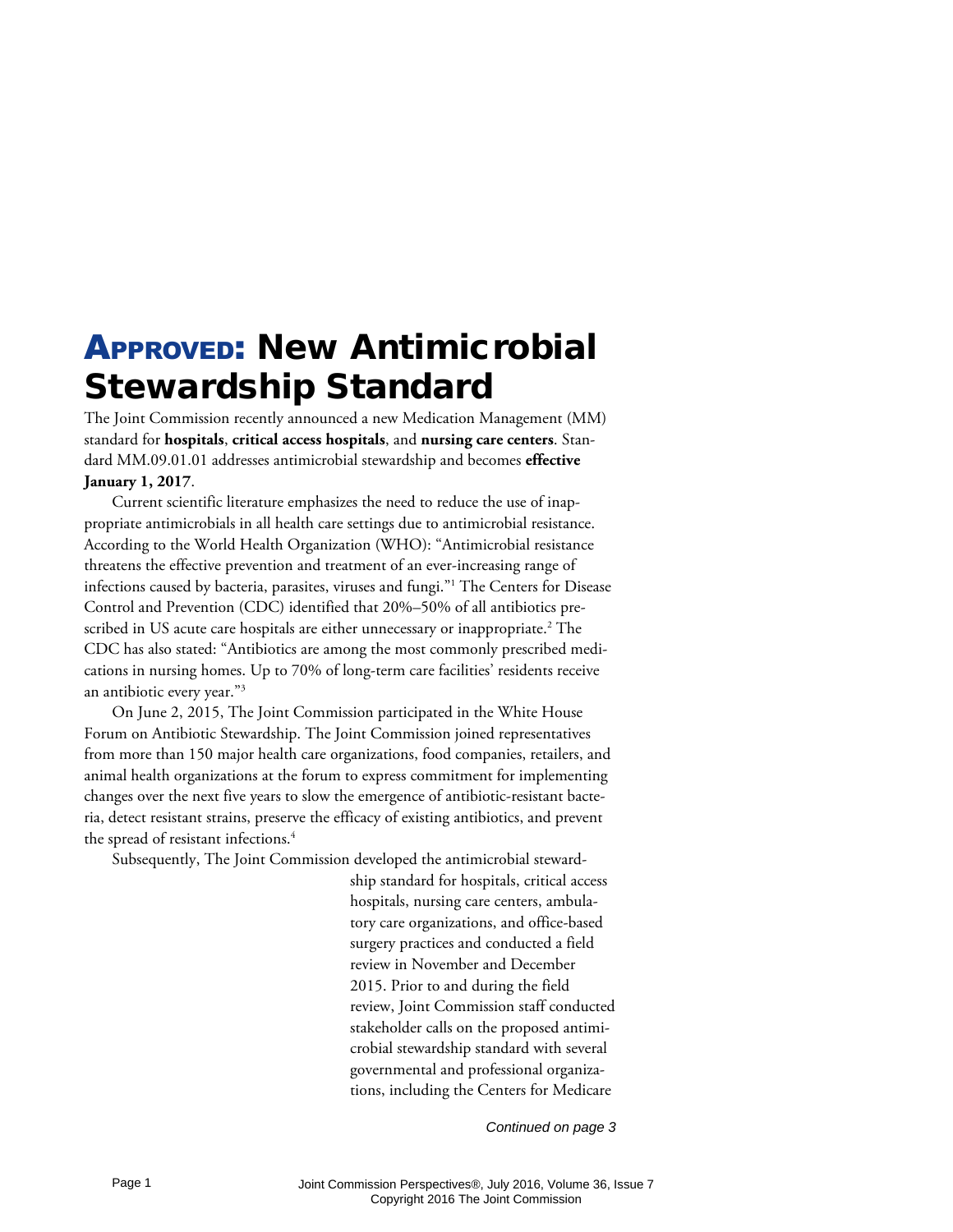# Approved: New Antimicrobial Stewardship Standard

The Joint Commission recently announced a new Medication Management (MM) standard for **hospitals**, **critical access hospitals**, and **nursing care centers**. Standard MM.09.01.01 addresses antimicrobial stewardship and becomes **effective January 1, 2017**.

Current scientific literature emphasizes the need to reduce the use of inappropriate antimicrobials in all health care settings due to antimicrobial resistance. According to the World Health Organization (WHO): "Antimicrobial resistance threatens the effective prevention and treatment of an ever-increasing range of infections caused by bacteria, parasites, viruses and fungi."1 The Centers for Disease Control and Prevention (CDC) identified that 20%–50% of all antibiotics prescribed in US acute care hospitals are either unnecessary or inappropriate.<sup>2</sup> The CDC has also stated: "Antibiotics are among the most commonly prescribed medications in nursing homes. Up to 70% of long-term care facilities' residents receive an antibiotic every year."3

On June 2, 2015, The Joint Commission participated in the White House Forum on Antibiotic Stewardship. The Joint Commission joined representatives from more than 150 major health care organizations, food companies, retailers, and animal health organizations at the forum to express commitment for implementing changes over the next five years to slow the emergence of antibiotic-resistant bacteria, detect resistant strains, preserve the efficacy of existing antibiotics, and prevent the spread of resistant infections.<sup>4</sup>

Subsequently, The Joint Commission developed the antimicrobial steward-

ship standard for hospitals, critical access hospitals, nursing care centers, ambulatory care organizations, and office-based surgery practices and conducted a field review in November and December 2015. Prior to and during the field review, Joint Commission staff conducted stakeholder calls on the proposed antimicrobial stewardship standard with several governmental and professional organizations, including the Centers for Medicare

*Continued on page 3*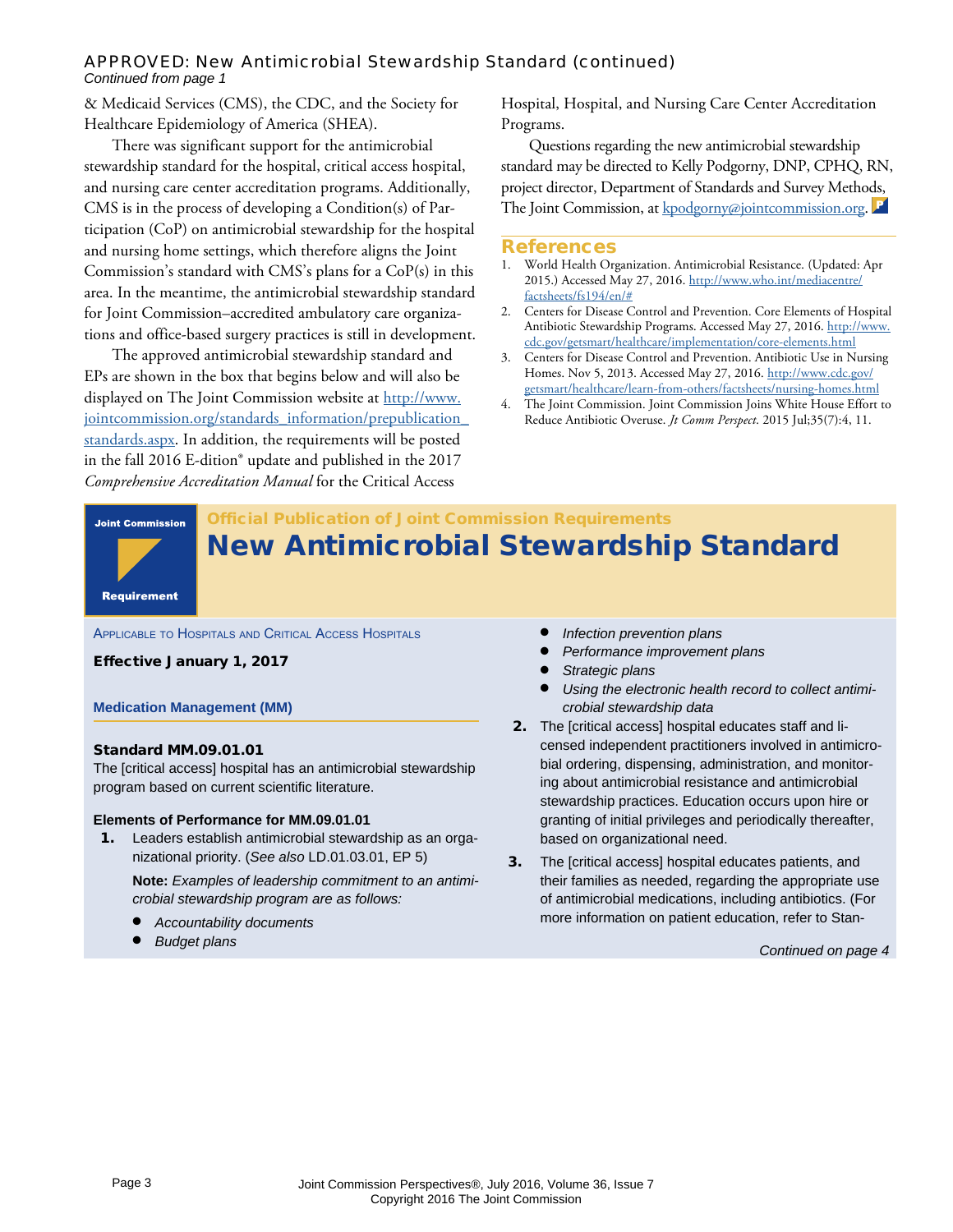## *APPROVED: New Antimicrobial Stewardship Standard (continued)*

*Continued from page 1*

& Medicaid Services (CMS), the CDC, and the Society for Healthcare Epidemiology of America (SHEA).

There was significant support for the antimicrobial stewardship standard for the hospital, critical access hospital, and nursing care center accreditation programs. Additionally, CMS is in the process of developing a Condition(s) of Participation (CoP) on antimicrobial stewardship for the hospital and nursing home settings, which therefore aligns the Joint Commission's standard with CMS's plans for a CoP(s) in this area. In the meantime, the antimicrobial stewardship standard for Joint Commission–accredited ambulatory care organizations and office-based surgery practices is still in development.

The approved antimicrobial stewardship standard and EPs are shown in the box that begins below and will also be displayed on The Joint Commission website at [http://www.](http://www.jointcommission.org/standards_information/prepublication_standards.aspx) [jointcommission.org/standards\\_information/prepublication\\_](http://www.jointcommission.org/standards_information/prepublication_standards.aspx) [standards.aspx](http://www.jointcommission.org/standards_information/prepublication_standards.aspx). In addition, the requirements will be posted in the fall 2016 E-dition® update and published in the 2017 *Comprehensive Accreditation Manual* for the Critical Access

Hospital, Hospital, and Nursing Care Center Accreditation Programs.

Questions regarding the new antimicrobial stewardship standard may be directed to Kelly Podgorny, DNP, CPHQ, RN, project director, Department of Standards and Survey Methods, The Joint Commission, at [kpodgorny@jointcommission.org.](mailto:kpodgorny%40jointcommission.org?subject=)

#### References

- 1. World Health Organization. Antimicrobial Resistance. (Updated: Apr 2015.) Accessed May 27, 2016. [http://www.who.int/mediacentre/](http://www.who.int/mediacentre/factsheets/fs194/en/#) [factsheets/fs194/en/#](http://www.who.int/mediacentre/factsheets/fs194/en/#)
- 2. Centers for Disease Control and Prevention. Core Elements of Hospital Antibiotic Stewardship Programs. Accessed May 27, 2016. [http://www.](http://www.cdc.gov/getsmart/healthcare/implementation/core-elements.html) [cdc.gov/getsmart/healthcare/implementation/core-elements.html](http://www.cdc.gov/getsmart/healthcare/implementation/core-elements.html)
- 3. Centers for Disease Control and Prevention. Antibiotic Use in Nursing Homes. Nov 5, 2013. Accessed May 27, 2016. [http://www.cdc.gov/](http://www.cdc.gov/getsmart/healthcare/learn-from-others/factsheets/nursing-homes.html) [getsmart/healthcare/learn-from-others/factsheets/nursing-homes.html](http://www.cdc.gov/getsmart/healthcare/learn-from-others/factsheets/nursing-homes.html)
- 4. The Joint Commission. Joint Commission Joins White House Effort to Reduce Antibiotic Overuse. *Jt Comm Perspect*. 2015 Jul;35(7):4, 11.



1. Leaders establish antimicrobial stewardship as an organizational priority. (*See also* LD.01.03.01, EP 5)

**Note:** *Examples of leadership commitment to an antimicrobial stewardship program are as follows:*

- **Accountability documents**
- **Budget plans**

3. The [critical access] hospital educates patients, and their families as needed, regarding the appropriate use of antimicrobial medications, including antibiotics. (For more information on patient education, refer to Stan-

based on organizational need.

*Continued on page 4*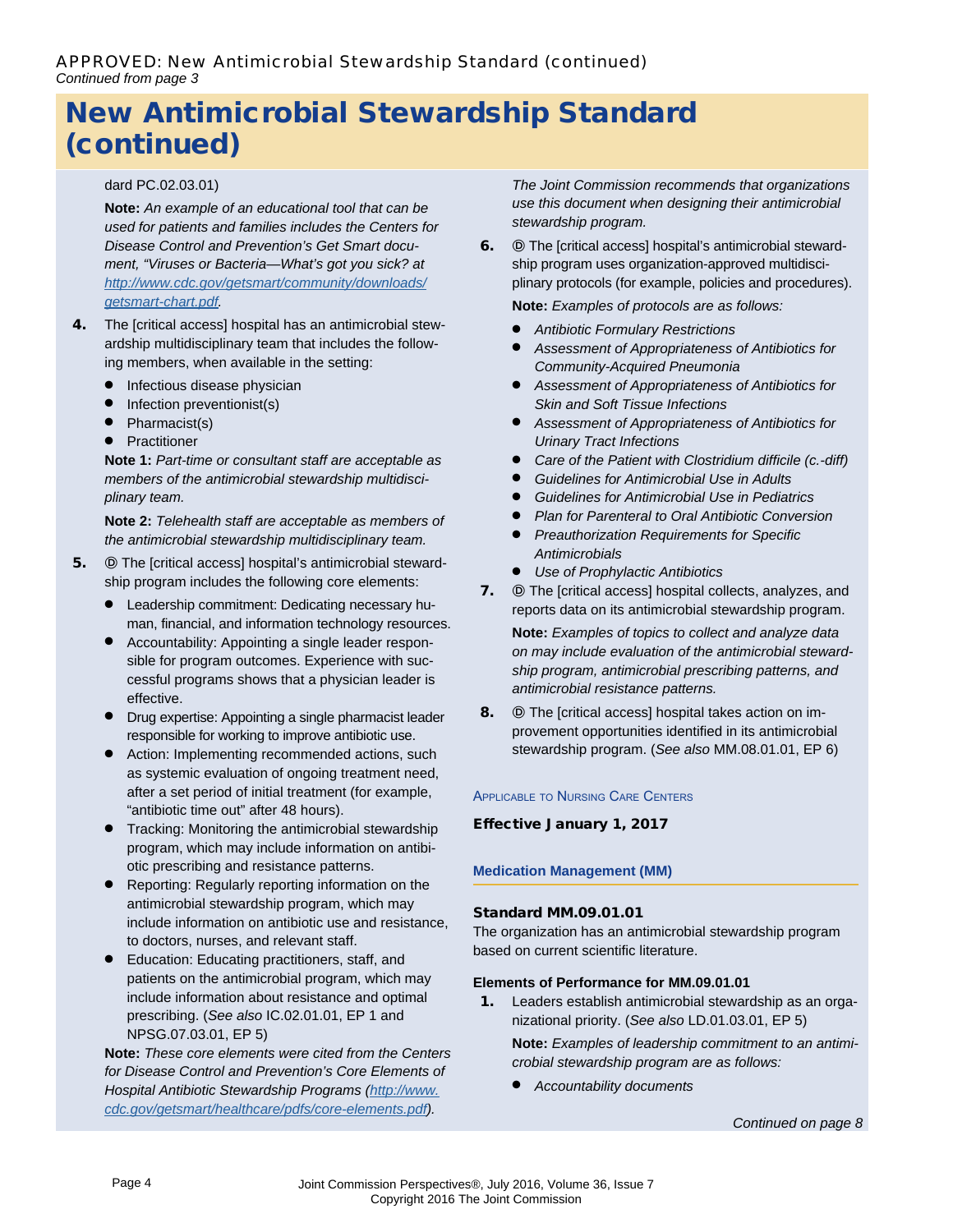### *APPROVED: New Antimicrobial Stewardship Standard (continued) Continued from page 3*

# New Antimicrobial Stewardship Standard (continued)

#### dard PC.02.03.01)

**Note:** *An example of an educational tool that can be used for patients and families includes the Centers for Disease Control and Prevention's Get Smart document, "Viruses or Bacteria—What's got you sick? at [http://www.cdc.gov/getsmart/community/downloads/](http://www.cdc.gov/getsmart/community/downloads/getsmart-chart.pdf) [getsmart-chart.pdf](http://www.cdc.gov/getsmart/community/downloads/getsmart-chart.pdf).*

- 4. The [critical access] hospital has an antimicrobial stewardship multidisciplinary team that includes the following members, when available in the setting:
	- **•** Infectious disease physician
	- Infection preventionist(s)
	- $\bullet$  Pharmacist(s)
	- **•** Practitioner

**Note 1:** *Part-time or consultant staff are acceptable as members of the antimicrobial stewardship multidisciplinary team.*

**Note 2:** *Telehealth staff are acceptable as members of the antimicrobial stewardship multidisciplinary team.*

- 5.  $\circled{D}$  The [critical access] hospital's antimicrobial stewardship program includes the following core elements:
	- **•** Leadership commitment: Dedicating necessary human, financial, and information technology resources.
	- **•** Accountability: Appointing a single leader responsible for program outcomes. Experience with successful programs shows that a physician leader is effective.
	- **•** Drug expertise: Appointing a single pharmacist leader responsible for working to improve antibiotic use.
	- Action: Implementing recommended actions, such as systemic evaluation of ongoing treatment need, after a set period of initial treatment (for example, "antibiotic time out" after 48 hours).
	- $\bullet$  Tracking: Monitoring the antimicrobial stewardship program, which may include information on antibiotic prescribing and resistance patterns.
	- Reporting: Regularly reporting information on the antimicrobial stewardship program, which may include information on antibiotic use and resistance, to doctors, nurses, and relevant staff.
	- **•** Education: Educating practitioners, staff, and patients on the antimicrobial program, which may include information about resistance and optimal prescribing. (*See also* IC.02.01.01, EP 1 and NPSG.07.03.01, EP 5)

**Note:** *These core elements were cited from the Centers for Disease Control and Prevention's Core Elements of Hospital Antibiotic Stewardship Programs ([http://www.](http://www.cdc.gov/getsmart/healthcare/pdfs/core-elements.pdf) [cdc.gov/getsmart/healthcare/pdfs/core-elements.pdf](http://www.cdc.gov/getsmart/healthcare/pdfs/core-elements.pdf)).*

*The Joint Commission recommends that organizations use this document when designing their antimicrobial stewardship program.*

6.  $\circled{D}$  The [critical access] hospital's antimicrobial stewardship program uses organization-approved multidisciplinary protocols (for example, policies and procedures).

**Note:** *Examples of protocols are as follows:*

- **Antibiotic Formulary Restrictions**
- Assessment of Appropriateness of Antibiotics for *Community-Acquired Pneumonia*
- Assessment of Appropriateness of Antibiotics for *Skin and Soft Tissue Infections*
- Assessment of Appropriateness of Antibiotics for *Urinary Tract Infections*
- Care of the Patient with Clostridium difficile (c.-diff)
- **Guidelines for Antimicrobial Use in Adults**
- **Guidelines for Antimicrobial Use in Pediatrics**
- **•** Plan for Parenteral to Oral Antibiotic Conversion
- **•** Preauthorization Requirements for Specific *Antimicrobials*
- **•** Use of Prophylactic Antibiotics
- 7.  $\circled{D}$  The [critical access] hospital collects, analyzes, and reports data on its antimicrobial stewardship program.

**Note:** *Examples of topics to collect and analyze data on may include evaluation of the antimicrobial stewardship program, antimicrobial prescribing patterns, and antimicrobial resistance patterns.*

8.  $\circled{D}$  The [critical access] hospital takes action on improvement opportunities identified in its antimicrobial stewardship program. (*See also* MM.08.01.01, EP 6)

#### Applicable to Nursing Care Centers

Effective January 1, 2017

**Medication Management (MM)**

#### Standard MM.09.01.01

The organization has an antimicrobial stewardship program based on current scientific literature.

#### **Elements of Performance for MM.09.01.01**

1. Leaders establish antimicrobial stewardship as an organizational priority. (*See also* LD.01.03.01, EP 5)

**Note:** *Examples of leadership commitment to an antimicrobial stewardship program are as follows:*

**Accountability documents**